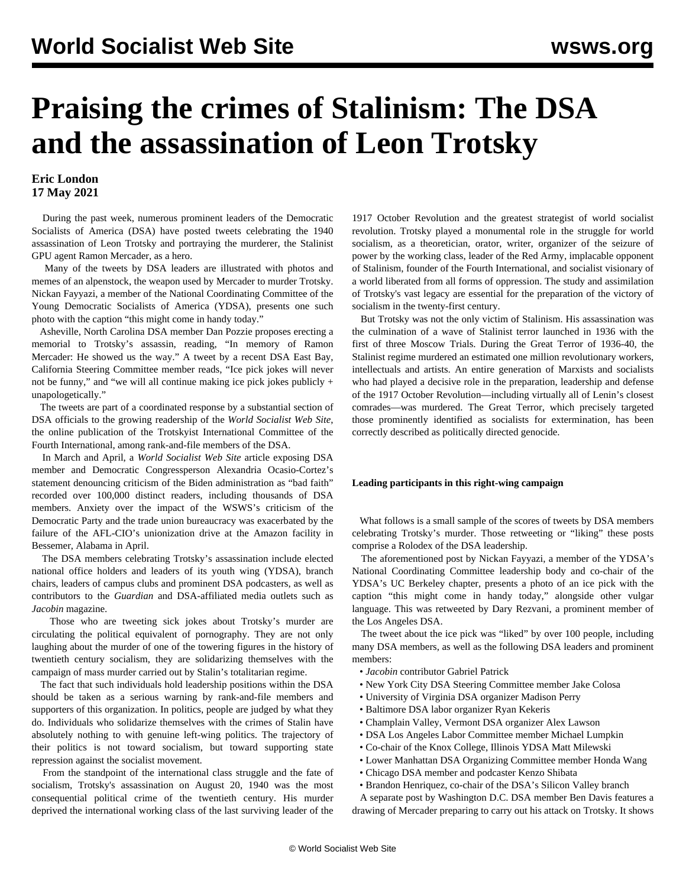# **Praising the crimes of Stalinism: The DSA and the assassination of Leon Trotsky**

### **Eric London 17 May 2021**

 During the past week, numerous prominent leaders of the Democratic Socialists of America (DSA) have posted tweets celebrating the 1940 assassination of Leon Trotsky and portraying the murderer, the Stalinist GPU agent Ramon Mercader, as a hero.

 Many of the tweets by DSA leaders are illustrated with photos and memes of an alpenstock, the weapon used by Mercader to murder Trotsky. Nickan Fayyazi, a member of the National Coordinating Committee of the Young Democratic Socialists of America (YDSA), presents one such photo with the caption "this might come in handy today."

 Asheville, North Carolina DSA member Dan Pozzie proposes erecting a memorial to Trotsky's assassin, reading, "In memory of Ramon Mercader: He showed us the way." A tweet by a recent DSA East Bay, California Steering Committee member reads, "Ice pick jokes will never not be funny," and "we will all continue making ice pick jokes publicly + unapologetically."

 The tweets are part of a coordinated response by a substantial section of DSA officials to the growing readership of the *World Socialist Web Site*, the online publication of the Trotskyist International Committee of the Fourth International, among rank-and-file members of the DSA.

 In March and April, a *World Socialist Web Site* article exposing DSA member and Democratic Congressperson Alexandria Ocasio-Cortez's statement denouncing criticism of the Biden administration as "bad faith" recorded over 100,000 distinct readers, including thousands of DSA members. Anxiety over the impact of the WSWS's criticism of the Democratic Party and the trade union bureaucracy was exacerbated by the failure of the AFL-CIO's unionization drive at the Amazon facility in Bessemer, Alabama in April.

 The DSA members celebrating Trotsky's assassination include elected national office holders and leaders of its youth wing (YDSA), branch chairs, leaders of campus clubs and prominent DSA podcasters, as well as contributors to the *Guardian* and DSA-affiliated media outlets such as *Jacobin* magazine.

 Those who are tweeting sick jokes about Trotsky's murder are circulating the political equivalent of pornography. They are not only laughing about the murder of one of the towering figures in the history of twentieth century socialism, they are solidarizing themselves with the campaign of mass murder carried out by Stalin's totalitarian regime.

 The fact that such individuals hold leadership positions within the DSA should be taken as a serious warning by rank-and-file members and supporters of this organization. In politics, people are judged by what they do. Individuals who solidarize themselves with the crimes of Stalin have absolutely nothing to with genuine left-wing politics. The trajectory of their politics is not toward socialism, but toward supporting state repression against the socialist movement.

 From the standpoint of the international class struggle and the fate of socialism, Trotsky's assassination on August 20, 1940 was the most consequential political crime of the twentieth century. His murder deprived the international working class of the last surviving leader of the

1917 October Revolution and the greatest strategist of world socialist revolution. Trotsky played a monumental role in the struggle for world socialism, as a theoretician, orator, writer, organizer of the seizure of power by the working class, leader of the Red Army, implacable opponent of Stalinism, founder of the Fourth International, and socialist visionary of a world liberated from all forms of oppression. The study and assimilation of Trotsky's vast legacy are essential for the preparation of the victory of socialism in the twenty-first century.

 But Trotsky was not the only victim of Stalinism. His assassination was the culmination of a wave of Stalinist terror launched in 1936 with the first of three Moscow Trials. During the Great Terror of 1936-40, the Stalinist regime murdered an estimated one million revolutionary workers, intellectuals and artists. An entire generation of Marxists and socialists who had played a decisive role in the preparation, leadership and defense of the 1917 October Revolution—including virtually all of Lenin's closest comrades—was murdered. The Great Terror, which precisely targeted those prominently identified as socialists for extermination, has been correctly described as politically directed genocide.

#### **Leading participants in this right-wing campaign**

 What follows is a small sample of the scores of tweets by DSA members celebrating Trotsky's murder. Those retweeting or "liking" these posts comprise a Rolodex of the DSA leadership.

 The aforementioned post by Nickan Fayyazi, a member of the YDSA's National Coordinating Committee leadership body and co-chair of the YDSA's UC Berkeley chapter, presents a photo of an ice pick with the caption "this might come in handy today," alongside other vulgar language. This was retweeted by Dary Rezvani, a prominent member of the Los Angeles DSA.

 The tweet about the ice pick was "liked" by over 100 people, including many DSA members, as well as the following DSA leaders and prominent members:

- *Jacobin* contributor Gabriel Patrick
- New York City DSA Steering Committee member Jake Colosa
- University of Virginia DSA organizer Madison Perry
- Baltimore DSA labor organizer Ryan Kekeris
- Champlain Valley, Vermont DSA organizer Alex Lawson
- DSA Los Angeles Labor Committee member Michael Lumpkin
- Co-chair of the Knox College, Illinois YDSA Matt Milewski
- Lower Manhattan DSA Organizing Committee member Honda Wang
- Chicago DSA member and podcaster Kenzo Shibata

 • Brandon Henriquez, co-chair of the DSA's Silicon Valley branch A separate post by Washington D.C. DSA member Ben Davis features a

drawing of Mercader preparing to carry out his attack on Trotsky. It shows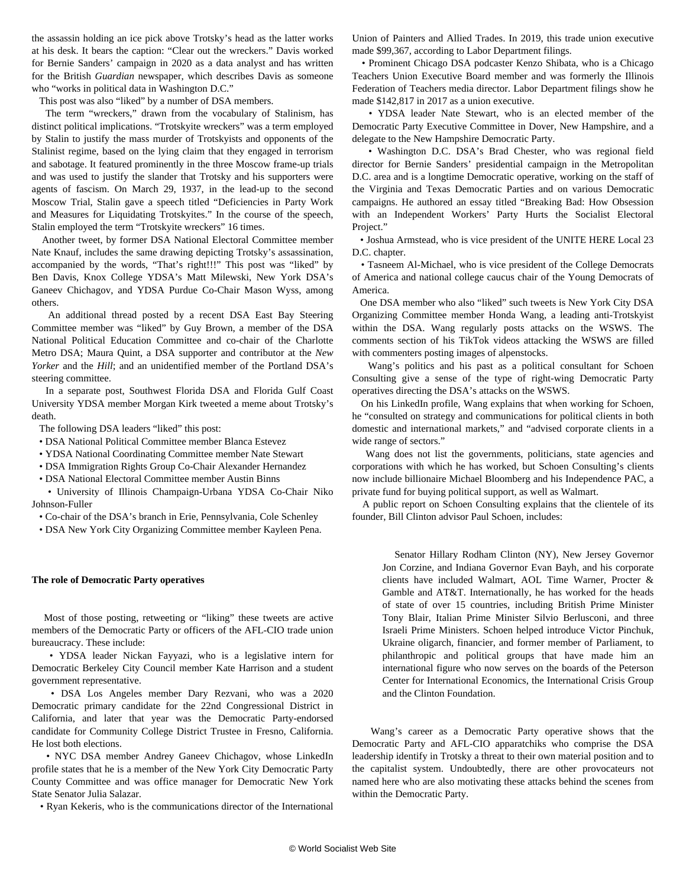the assassin holding an ice pick above Trotsky's head as the latter works at his desk. It bears the caption: "Clear out the wreckers." Davis worked for Bernie Sanders' campaign in 2020 as a data analyst and has written for the British *Guardian* newspaper, which describes Davis as someone who "works in political data in Washington D.C."

This post was also "liked" by a number of DSA members.

 The term "wreckers," drawn from the vocabulary of Stalinism, has distinct political implications. "Trotskyite wreckers" was a term employed by Stalin to justify the mass murder of Trotskyists and opponents of the Stalinist regime, based on the lying claim that they engaged in terrorism and sabotage. It featured prominently in the three Moscow frame-up trials and was used to justify the slander that Trotsky and his supporters were agents of fascism. On March 29, 1937, in the lead-up to the second Moscow Trial, Stalin gave a speech titled "Deficiencies in Party Work and Measures for Liquidating Trotskyites." In the course of the speech, Stalin employed the term "Trotskyite wreckers" 16 times.

 Another tweet, by former DSA National Electoral Committee member Nate Knauf, includes the same drawing depicting Trotsky's assassination, accompanied by the words, "That's right!!!" This post was "liked" by Ben Davis, Knox College YDSA's Matt Milewski, New York DSA's Ganeev Chichagov, and YDSA Purdue Co-Chair Mason Wyss, among others.

 An additional thread posted by a recent DSA East Bay Steering Committee member was "liked" by Guy Brown, a member of the DSA National Political Education Committee and co-chair of the Charlotte Metro DSA; Maura Quint, a DSA supporter and contributor at the *New Yorker* and the *Hill*; and an unidentified member of the Portland DSA's steering committee.

 In a separate post, Southwest Florida DSA and Florida Gulf Coast University YDSA member Morgan Kirk tweeted a meme about Trotsky's death.

The following DSA leaders "liked" this post:

- DSA National Political Committee member Blanca Estevez
- YDSA National Coordinating Committee member Nate Stewart
- DSA Immigration Rights Group Co-Chair Alexander Hernandez
- DSA National Electoral Committee member Austin Binns

 • University of Illinois Champaign-Urbana YDSA Co-Chair Niko Johnson-Fuller

• Co-chair of the DSA's branch in Erie, Pennsylvania, Cole Schenley

• DSA New York City Organizing Committee member Kayleen Pena.

#### **The role of Democratic Party operatives**

 Most of those posting, retweeting or "liking" these tweets are active members of the Democratic Party or officers of the AFL-CIO trade union bureaucracy. These include:

 • YDSA leader Nickan Fayyazi, who is a legislative intern for Democratic Berkeley City Council member Kate Harrison and a student government representative.

 • DSA Los Angeles member Dary Rezvani, who was a 2020 Democratic primary candidate for the 22nd Congressional District in California, and later that year was the Democratic Party-endorsed candidate for Community College District Trustee in Fresno, California. He lost both elections.

 • NYC DSA member Andrey Ganeev Chichagov, whose LinkedIn profile states that he is a member of the New York City Democratic Party County Committee and was office manager for Democratic New York State Senator Julia Salazar.

• Ryan Kekeris, who is the communications director of the International

Union of Painters and Allied Trades. In 2019, this trade union executive made \$99,367, according to Labor Department filings.

 • Prominent Chicago DSA podcaster Kenzo Shibata, who is a Chicago Teachers Union Executive Board member and was formerly the Illinois Federation of Teachers media director. Labor Department filings show he made \$142,817 in 2017 as a union executive.

 • YDSA leader Nate Stewart, who is an elected member of the Democratic Party Executive Committee in Dover, New Hampshire, and a delegate to the New Hampshire Democratic Party.

 • Washington D.C. DSA's Brad Chester, who was regional field director for Bernie Sanders' presidential campaign in the Metropolitan D.C. area and is a longtime Democratic operative, working on the staff of the Virginia and Texas Democratic Parties and on various Democratic campaigns. He authored an essay titled "Breaking Bad: How Obsession with an Independent Workers' Party Hurts the Socialist Electoral Project."

 • Joshua Armstead, who is vice president of the UNITE HERE Local 23 D.C. chapter.

 • Tasneem Al-Michael, who is vice president of the College Democrats of America and national college caucus chair of the Young Democrats of America.

 One DSA member who also "liked" such tweets is New York City DSA Organizing Committee member Honda Wang, a leading anti-Trotskyist within the DSA. Wang regularly posts attacks on the WSWS. The comments section of his TikTok videos attacking the WSWS are filled with commenters posting images of alpenstocks.

 Wang's politics and his past as a political consultant for Schoen Consulting give a sense of the type of right-wing Democratic Party operatives directing the DSA's attacks on the WSWS.

 On his LinkedIn profile, Wang explains that when working for Schoen, he "consulted on strategy and communications for political clients in both domestic and international markets," and "advised corporate clients in a wide range of sectors."

 Wang does not list the governments, politicians, state agencies and corporations with which he has worked, but Schoen Consulting's clients now include billionaire Michael Bloomberg and his Independence PAC, a private fund for buying political support, as well as Walmart.

 A public report on Schoen Consulting explains that the clientele of its founder, Bill Clinton advisor Paul Schoen, includes:

 Senator Hillary Rodham Clinton (NY), New Jersey Governor Jon Corzine, and Indiana Governor Evan Bayh, and his corporate clients have included Walmart, AOL Time Warner, Procter & Gamble and AT&T. Internationally, he has worked for the heads of state of over 15 countries, including British Prime Minister Tony Blair, Italian Prime Minister Silvio Berlusconi, and three Israeli Prime Ministers. Schoen helped introduce Victor Pinchuk, Ukraine oligarch, financier, and former member of Parliament, to philanthropic and political groups that have made him an international figure who now serves on the boards of the Peterson Center for International Economics, the International Crisis Group and the Clinton Foundation.

 Wang's career as a Democratic Party operative shows that the Democratic Party and AFL-CIO apparatchiks who comprise the DSA leadership identify in Trotsky a threat to their own material position and to the capitalist system. Undoubtedly, there are other provocateurs not named here who are also motivating these attacks behind the scenes from within the Democratic Party.